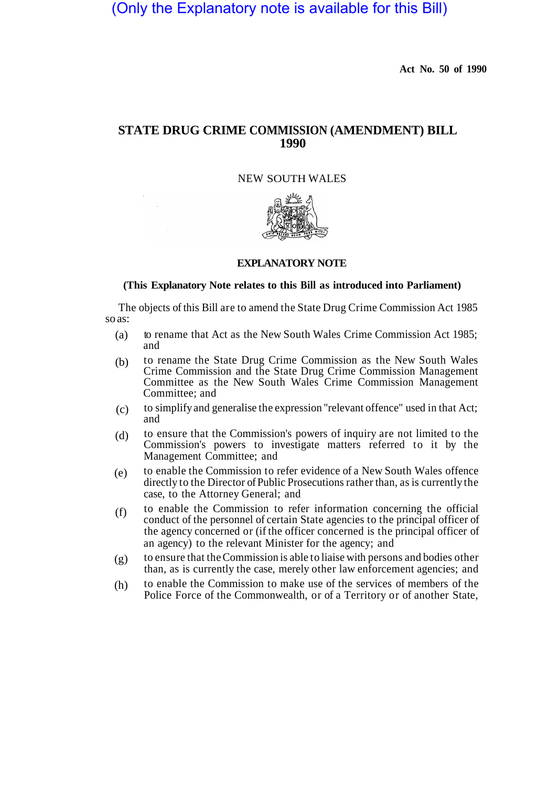# (Only the Explanatory note is available for this Bill)

**Act No. 50 of 1990** 

# **STATE DRUG CRIME COMMISSION (AMENDMENT) BILL 1990**

NEW SOUTH WALES



# **EXPLANATORY NOTE**

#### **(This Explanatory Note relates to this Bill as introduced into Parliament)**

The objects of this Bill are to amend the State Drug Crime Commission Act 1985 so as:

- to rename that Act as the New South Wales Crime Commission Act 1985; and (a)
- to rename the State Drug Crime Commission as the New South Wales Crime Commission and the State Drug Crime Commission Management Committee as the New South Wales Crime Commission Management Committee; and (b)
- to simplify and generalise the expression "relevant offence" used in that Act; and (c)
- to ensure that the Commission's powers of inquiry are not limited to the Commission's powers to investigate matters referred to it by the Management Committee; and (d)
- to enable the Commission to refer evidence of a New South Wales offence directly to the Director of Public Prosecutions rather than, as is currently the case, to the Attorney General; and (e)
- to enable the Commission to refer information concerning the official conduct of the personnel of certain State agencies to the principal officer of the agency concerned or (if the officer concerned is the principal officer of an agency) to the relevant Minister for the agency; and (f)
- to ensure that the Commission is able to liaise with persons and bodies other than, as is currently the case, merely other law enforcement agencies; and (g)
- to enable the Commission to make use of the services of members of the Police Force of the Commonwealth, or of a Territory or of another State, (h)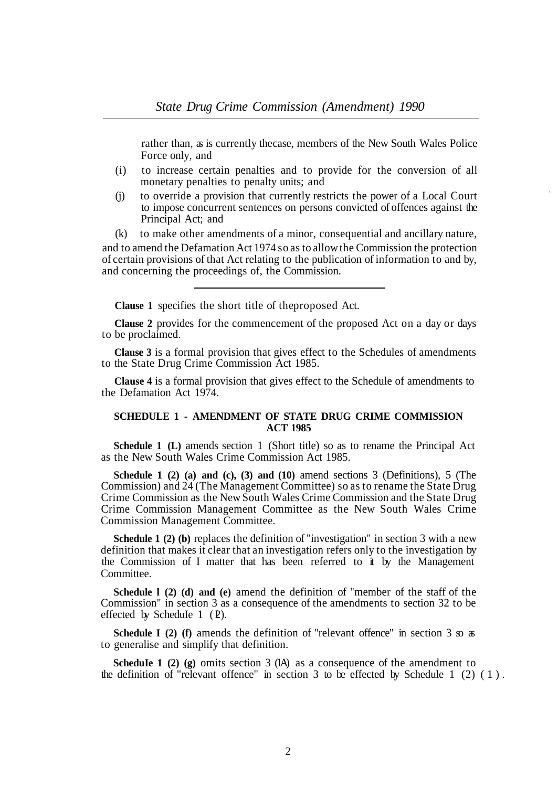rather than, as is currently the case, members of the New South Wales Police Force only, and

- (i) to increase certain penalties and to provide for the conversion of all monetary penalties to penalty units; and
- (j) to override a provision that currently restricts the power of a Local Court to impose concurrent sentences on persons convicted of offences against the Principal Act; and

(k) to make other amendments of a minor, consequential and ancillary nature, and to amend the Defamation Act 1974 so as to allow the Commission the protection of certain provisions of that Act relating to the publication of information to and by, and concerning the proceedings of, the Commission.

**Clause 1** specifies the short title of the proposed Act.

**Clause 2** provides for the commencement of the proposed Act on a day or days to be proclaimed.

**Clause 3** is a formal provision that gives effect to the Schedules of amendments to the State Drug Crime Commission Act 1985.

**Clause 4** is a formal provision that gives effect to the Schedule of amendments to the Defamation Act 1974.

# **SCHEDULE 1 - AMENDMENT OF STATE DRUG CRIME COMMISSION ACT 1985**

**Schedule 1 (L)** amends section 1 (Short title) so as to rename the Principal Act as the New South Wales Crime Commission Act 1985.

**Schedule 1 (2) (a) and (c), (3) and (10)** amend sections 3 (Definitions), 5 (The Commission) and 24 (The Management Committee) so as to rename the State Drug Crime Commission as the New South Wales Crime Commission and the State Drug Crime Commission Management Committee as the New South Wales Crime Commission Management Committee.

**Schedule 1 (2) (b)** replaces the definition of "investigation" in section 3 with a new definition that makes it clear that an investigation refers only to the investigation by the Commission of I matter that has been referred to it by the Management Committee.

**Schedule l (2) (d) and (e)** amend the definition of "member of the staff of the Commission" in section 3 as a consequence of the amendments to section 32 to be effected by ScheduIe  $1$  ( $\overline{2}$ ).

**Schedule I (2) (f)** amends the definition of "relevant offence" in section 3 so as to generalise and simplify that definition.

**ScheduIe 1 (2) (g)** omits section 3 (IA) as a consequence of the amendment to the definition of "relevant offence" in section 3 to be effected by Schedule 1 (2) (1).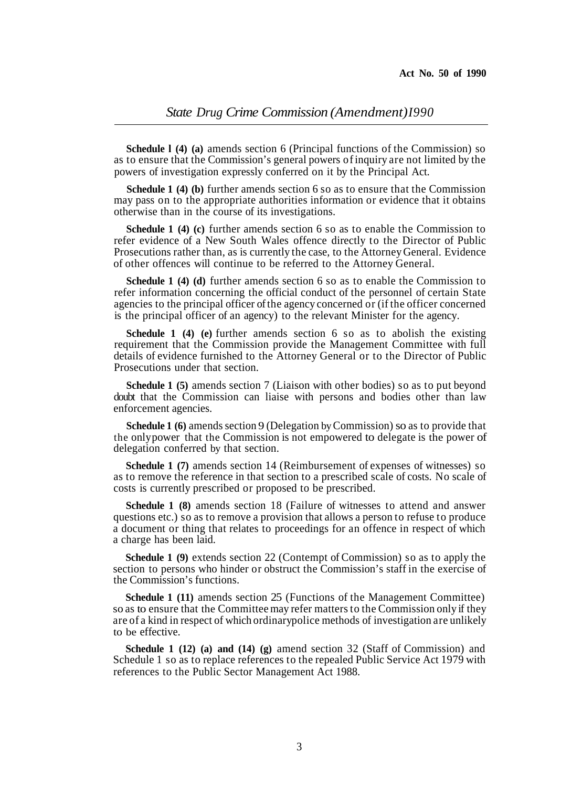**Schedule l (4) (a)** amends section 6 (Principal functions of the Commission) so as to ensure that the Commission's general powers of inquiry are not limited by the powers of investigation expressly conferred on it by the Principal Act.

**Schedule 1 (4) (b)** further amends section 6 so as to ensure that the Commission may pass on to the appropriate authorities information or evidence that it obtains otherwise than in the course of its investigations.

**Schedule 1 (4) (c)** further amends section 6 so as to enable the Commission to refer evidence of a New South Wales offence directly to the Director of Public Prosecutions rather than, as is currently the case, to the Attorney General. Evidence of other offences will continue to be referred to the Attorney General.

**Schedule 1 (4) (d)** further amends section 6 so as to enable the Commission to refer information concerning the official conduct of the personnel of certain State agencies to the principal officer of the agency concerned or (if the officer concerned is the principal officer of an agency) to the relevant Minister for the agency.

**Schedule 1 (4) (e)** further amends section 6 so as to abolish the existing requirement that the Commission provide the Management Committee with full details of evidence furnished to the Attorney General or to the Director of Public Prosecutions under that section.

**Schedule 1 (5)** amends section 7 (Liaison with other bodies) so as to put beyond doubt that the Commission can liaise with persons and bodies other than law enforcement agencies.

**Schedule 1 (6)** amends section 9 (Delegation by Commission) so as to provide that the only power that the Commission is not empowered to delegate is the power of delegation conferred by that section.

**Schedule 1 (7)** amends section 14 (Reimbursement of expenses of witnesses) so as to remove the reference in that section to a prescribed scale of costs. No scale of costs is currently prescribed or proposed to be prescribed.

**Schedule 1 (8)** amends section 18 (Failure of witnesses to attend and answer questions etc.) so as to remove a provision that allows a person to refuse to produce a document or thing that relates to proceedings for an offence in respect of which a charge has been laid.

**Schedule 1 (9)** extends section 22 (Contempt of Commission) so as to apply the section to persons who hinder or obstruct the Commission's staff in the exercise of the Commission's functions.

**Schedule 1 (11)** amends section 25 (Functions of the Management Committee) so as to ensure that the Committee may refer matters to the Commission only if they are of a kind in respect of which ordinary police methods of investigation are unlikely to be effective.

**Schedule 1 (12) (a) and (14) (g)** amend section 32 (Staff of Commission) and Schedule 1 so as to replace references to the repealed Public Service Act 1979 with references to the Public Sector Management Act 1988.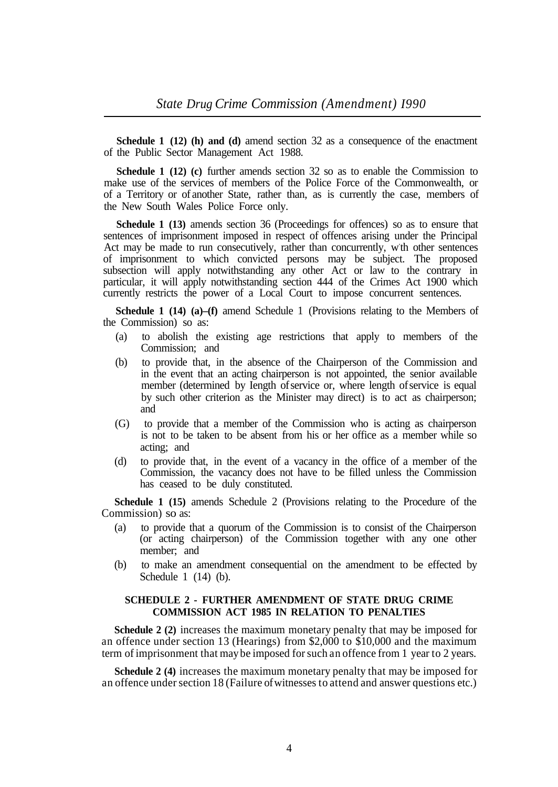**Schedule 1 (12) (h) and (d)** amend section 32 as a consequence of the enactment of the Public Sector Management Act 1988.

**Schedule 1 (12) (c)** further amends section 32 so as to enable the Commission to make use of the services of members of the Police Force of the Commonwealth, or of a Territory or of another State, rather than, as is currently the case, members of the New South Wales Police Force only.

**Schedule 1 (13)** amends section 36 (Proceedings for offences) so as to ensure that sentences of imprisonment imposed in respect of offences arising under the Principal Act may be made to run consecutively, rather than concurrently, wth other sentences of imprisonment to which convicted persons may be subject. The proposed subsection will apply notwithstanding any other Act or law to the contrary in particular, it will apply notwithstanding section 444 of the Crimes Act 1900 which currently restricts the power of a Local Court to impose concurrent sentences.

**Schedule 1 (14) (a)–(f)** amend Schedule 1 (Provisions relating to the Members of the Commission) so as:

- (a) to abolish the existing age restrictions that apply to members of the Commission; and
- (b) to provide that, in the absence of the Chairperson of the Commission and in the event that an acting chairperson is not appointed, the senior available member (determined by Iength of service or, where length of service is equal by such other criterion as the Minister may direct) is to act as chairperson; and
- (G) to provide that a member of the Commission who is acting as chairperson is not to be taken to be absent from his or her office as a member while so acting; and
- (d) to provide that, in the event of a vacancy in the office of a member of the Commission, the vacancy does not have to be filled unless the Commission has ceased to be duly constituted.

**Schedule 1 (15)** amends Schedule 2 (Provisions relating to the Procedure of the Commission) so as:

- (a) to provide that a quorum of the Commission is to consist of the Chairperson (or acting chairperson) of the Commission together with any one other member; and
- (b) to make an amendment consequential on the amendment to be effected by Schedule 1 (14) (b).

# **SCHEDULE 2 - FURTHER AMENDMENT OF STATE DRUG CRIME COMMISSION ACT 1985 IN RELATION TO PENALTIES**

**Schedule 2 (2)** increases the maximum monetary penalty that may be imposed for an offence under section 13 (Hearings) from \$2,000 to \$10,000 and the maximum term of imprisonment that may be imposed for such an offence from 1 year to 2 years.

**Schedule 2 (4)** increases the maximum monetary penalty that may be imposed for an offence under section 18 (Failure of witnesses to attend and answer questions etc.)